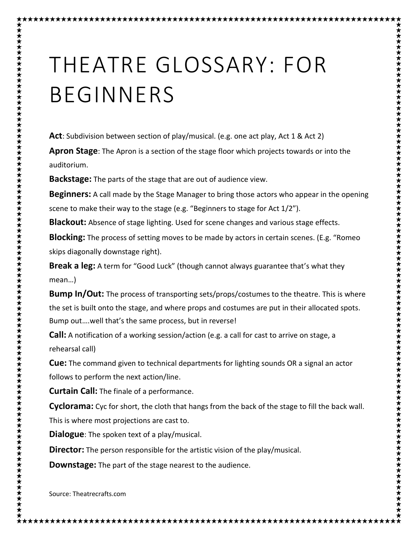## THEATRE GLOSSARY: FOR BEGINNERS

**Act**: Subdivision between section of play/musical. (e.g. one act play, Act 1 & Act 2)

**Apron Stage**: The Apron is a section of the stage floor which projects towards or into the auditorium.

**Backstage:** The parts of the stage that are out of audience view.

\*\*\*\*\*\*\*\*\*\*\*\*\*\*\*\*\*\*\*\*\*\*\*\*\*

**Beginners:** A call made by the Stage Manager to bring those actors who appear in the opening scene to make their way to the stage (e.g. "Beginners to stage for Act 1/2").

**Blackout:** Absence of stage lighting. Used for scene changes and various stage effects.

**Blocking:** The process of setting moves to be made by actors in certain scenes. (E.g. "Romeo skips diagonally downstage right).

**Break a leg:** A term for "Good Luck" (though cannot always guarantee that's what they mean…)

**Bump In/Out:** The process of transporting sets/props/costumes to the theatre. This is where the set is built onto the stage, and where props and costumes are put in their allocated spots. Bump out….well that's the same process, but in reverse!

**Call:** A notification of a working session/action (e.g. a call for cast to arrive on stage, a rehearsal call)

**Cue:** The command given to technical departments for lighting sounds OR a signal an actor follows to perform the next action/line.

**Curtain Call:** The finale of a performance.

**Cyclorama:** Cyc for short, the cloth that hangs from the back of the stage to fill the back wall. This is where most projections are cast to.

**Dialogue**: The spoken text of a play/musical.

**Director:** The person responsible for the artistic vision of the play/musical.

**Downstage:** The part of the stage nearest to the audience.

Source: Theatrecrafts.com